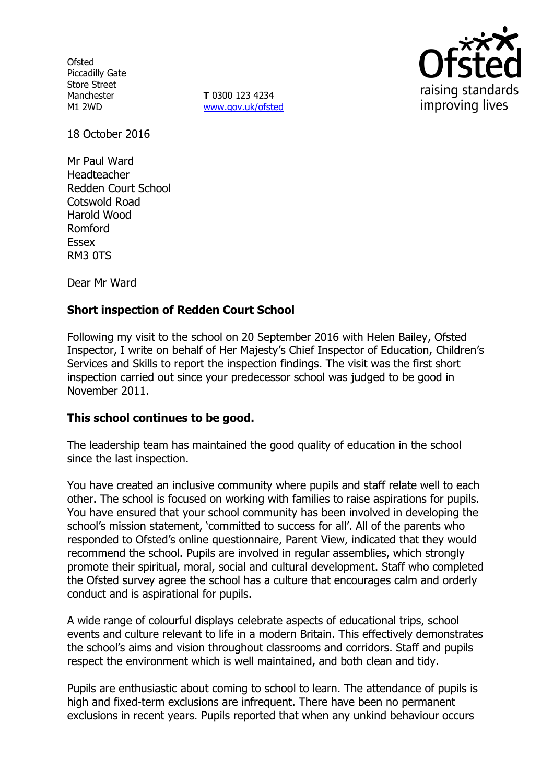**Ofsted** Piccadilly Gate Store Street Manchester M1 2WD

**T** 0300 123 4234 www.gov.uk/ofsted



18 October 2016

Mr Paul Ward Headteacher Redden Court School Cotswold Road Harold Wood Romford Essex RM3 0TS

Dear Mr Ward

## **Short inspection of Redden Court School**

Following my visit to the school on 20 September 2016 with Helen Bailey, Ofsted Inspector, I write on behalf of Her Majesty's Chief Inspector of Education, Children's Services and Skills to report the inspection findings. The visit was the first short inspection carried out since your predecessor school was judged to be good in November 2011.

## **This school continues to be good.**

The leadership team has maintained the good quality of education in the school since the last inspection.

You have created an inclusive community where pupils and staff relate well to each other. The school is focused on working with families to raise aspirations for pupils. You have ensured that your school community has been involved in developing the school's mission statement, 'committed to success for all'. All of the parents who responded to Ofsted's online questionnaire, Parent View, indicated that they would recommend the school. Pupils are involved in regular assemblies, which strongly promote their spiritual, moral, social and cultural development. Staff who completed the Ofsted survey agree the school has a culture that encourages calm and orderly conduct and is aspirational for pupils.

A wide range of colourful displays celebrate aspects of educational trips, school events and culture relevant to life in a modern Britain. This effectively demonstrates the school's aims and vision throughout classrooms and corridors. Staff and pupils respect the environment which is well maintained, and both clean and tidy.

Pupils are enthusiastic about coming to school to learn. The attendance of pupils is high and fixed-term exclusions are infrequent. There have been no permanent exclusions in recent years. Pupils reported that when any unkind behaviour occurs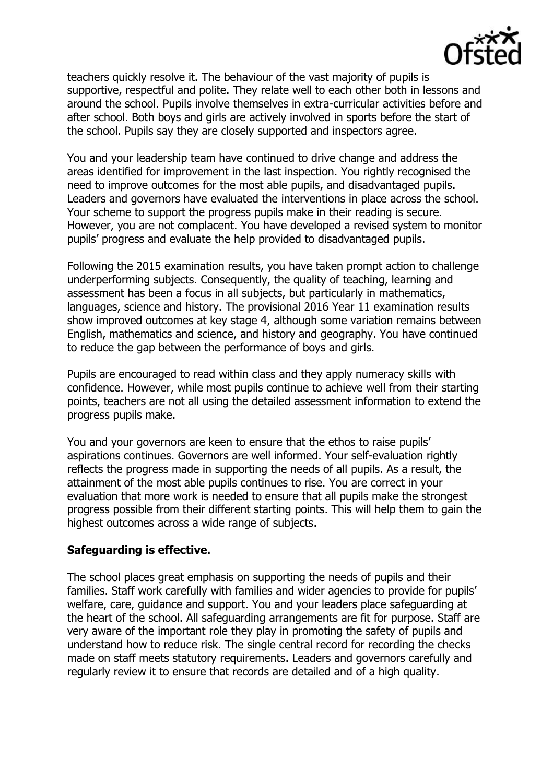

teachers quickly resolve it. The behaviour of the vast majority of pupils is supportive, respectful and polite. They relate well to each other both in lessons and around the school. Pupils involve themselves in extra-curricular activities before and after school. Both boys and girls are actively involved in sports before the start of the school. Pupils say they are closely supported and inspectors agree.

You and your leadership team have continued to drive change and address the areas identified for improvement in the last inspection. You rightly recognised the need to improve outcomes for the most able pupils, and disadvantaged pupils. Leaders and governors have evaluated the interventions in place across the school. Your scheme to support the progress pupils make in their reading is secure. However, you are not complacent. You have developed a revised system to monitor pupils' progress and evaluate the help provided to disadvantaged pupils.

Following the 2015 examination results, you have taken prompt action to challenge underperforming subjects. Consequently, the quality of teaching, learning and assessment has been a focus in all subjects, but particularly in mathematics, languages, science and history. The provisional 2016 Year 11 examination results show improved outcomes at key stage 4, although some variation remains between English, mathematics and science, and history and geography. You have continued to reduce the gap between the performance of boys and girls.

Pupils are encouraged to read within class and they apply numeracy skills with confidence. However, while most pupils continue to achieve well from their starting points, teachers are not all using the detailed assessment information to extend the progress pupils make.

You and your governors are keen to ensure that the ethos to raise pupils' aspirations continues. Governors are well informed. Your self-evaluation rightly reflects the progress made in supporting the needs of all pupils. As a result, the attainment of the most able pupils continues to rise. You are correct in your evaluation that more work is needed to ensure that all pupils make the strongest progress possible from their different starting points. This will help them to gain the highest outcomes across a wide range of subjects.

## **Safeguarding is effective.**

The school places great emphasis on supporting the needs of pupils and their families. Staff work carefully with families and wider agencies to provide for pupils' welfare, care, guidance and support. You and your leaders place safeguarding at the heart of the school. All safeguarding arrangements are fit for purpose. Staff are very aware of the important role they play in promoting the safety of pupils and understand how to reduce risk. The single central record for recording the checks made on staff meets statutory requirements. Leaders and governors carefully and regularly review it to ensure that records are detailed and of a high quality.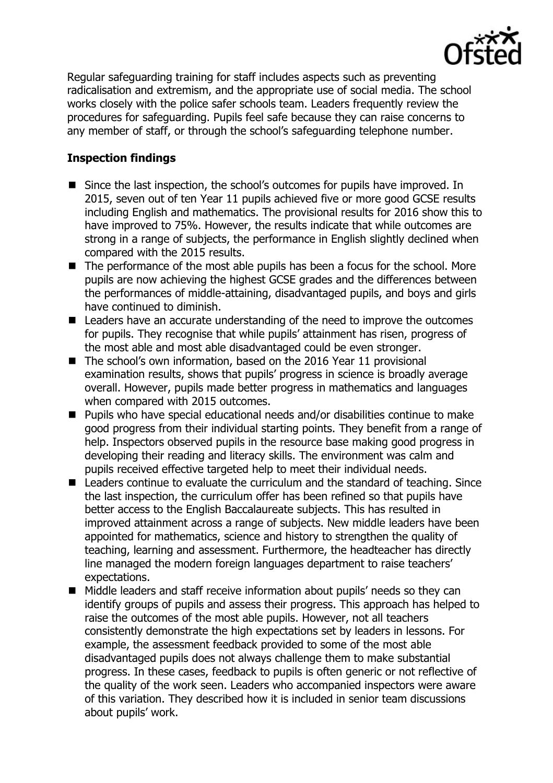

Regular safeguarding training for staff includes aspects such as preventing radicalisation and extremism, and the appropriate use of social media. The school works closely with the police safer schools team. Leaders frequently review the procedures for safeguarding. Pupils feel safe because they can raise concerns to any member of staff, or through the school's safeguarding telephone number.

# **Inspection findings**

- Since the last inspection, the school's outcomes for pupils have improved. In 2015, seven out of ten Year 11 pupils achieved five or more good GCSE results including English and mathematics. The provisional results for 2016 show this to have improved to 75%. However, the results indicate that while outcomes are strong in a range of subjects, the performance in English slightly declined when compared with the 2015 results.
- The performance of the most able pupils has been a focus for the school. More pupils are now achieving the highest GCSE grades and the differences between the performances of middle-attaining, disadvantaged pupils, and boys and girls have continued to diminish.
- Leaders have an accurate understanding of the need to improve the outcomes for pupils. They recognise that while pupils' attainment has risen, progress of the most able and most able disadvantaged could be even stronger.
- The school's own information, based on the 2016 Year 11 provisional examination results, shows that pupils' progress in science is broadly average overall. However, pupils made better progress in mathematics and languages when compared with 2015 outcomes.
- Pupils who have special educational needs and/or disabilities continue to make good progress from their individual starting points. They benefit from a range of help. Inspectors observed pupils in the resource base making good progress in developing their reading and literacy skills. The environment was calm and pupils received effective targeted help to meet their individual needs.
- Leaders continue to evaluate the curriculum and the standard of teaching. Since the last inspection, the curriculum offer has been refined so that pupils have better access to the English Baccalaureate subjects. This has resulted in improved attainment across a range of subjects. New middle leaders have been appointed for mathematics, science and history to strengthen the quality of teaching, learning and assessment. Furthermore, the headteacher has directly line managed the modern foreign languages department to raise teachers' expectations.
- Middle leaders and staff receive information about pupils' needs so they can identify groups of pupils and assess their progress. This approach has helped to raise the outcomes of the most able pupils. However, not all teachers consistently demonstrate the high expectations set by leaders in lessons. For example, the assessment feedback provided to some of the most able disadvantaged pupils does not always challenge them to make substantial progress. In these cases, feedback to pupils is often generic or not reflective of the quality of the work seen. Leaders who accompanied inspectors were aware of this variation. They described how it is included in senior team discussions about pupils' work.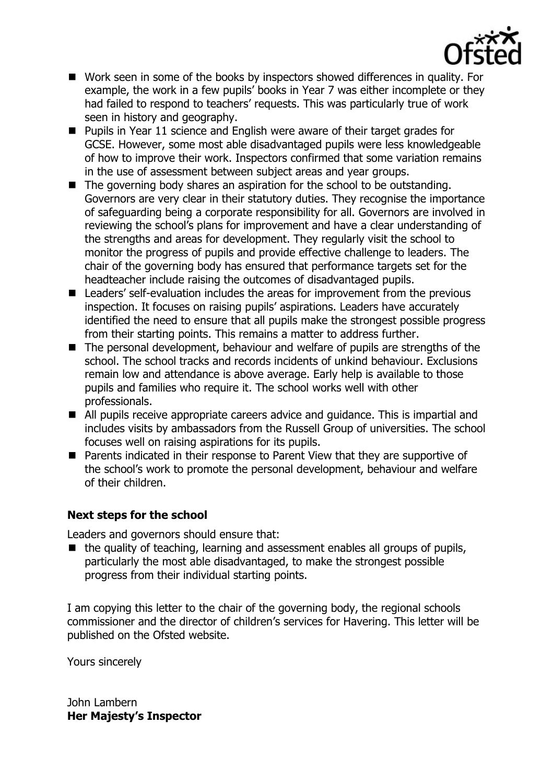

- Work seen in some of the books by inspectors showed differences in quality. For example, the work in a few pupils' books in Year 7 was either incomplete or they had failed to respond to teachers' requests. This was particularly true of work seen in history and geography.
- **Pupils in Year 11 science and English were aware of their target grades for** GCSE. However, some most able disadvantaged pupils were less knowledgeable of how to improve their work. Inspectors confirmed that some variation remains in the use of assessment between subject areas and year groups.
- The governing body shares an aspiration for the school to be outstanding. Governors are very clear in their statutory duties. They recognise the importance of safeguarding being a corporate responsibility for all. Governors are involved in reviewing the school's plans for improvement and have a clear understanding of the strengths and areas for development. They regularly visit the school to monitor the progress of pupils and provide effective challenge to leaders. The chair of the governing body has ensured that performance targets set for the headteacher include raising the outcomes of disadvantaged pupils.
- Leaders' self-evaluation includes the areas for improvement from the previous inspection. It focuses on raising pupils' aspirations. Leaders have accurately identified the need to ensure that all pupils make the strongest possible progress from their starting points. This remains a matter to address further.
- The personal development, behaviour and welfare of pupils are strengths of the school. The school tracks and records incidents of unkind behaviour. Exclusions remain low and attendance is above average. Early help is available to those pupils and families who require it. The school works well with other professionals.
- All pupils receive appropriate careers advice and guidance. This is impartial and includes visits by ambassadors from the Russell Group of universities. The school focuses well on raising aspirations for its pupils.
- Parents indicated in their response to Parent View that they are supportive of the school's work to promote the personal development, behaviour and welfare of their children.

## **Next steps for the school**

Leaders and governors should ensure that:

 $\blacksquare$  the quality of teaching, learning and assessment enables all groups of pupils, particularly the most able disadvantaged, to make the strongest possible progress from their individual starting points.

I am copying this letter to the chair of the governing body, the regional schools commissioner and the director of children's services for Havering. This letter will be published on the Ofsted website.

Yours sincerely

John Lambern **Her Majesty's Inspector**